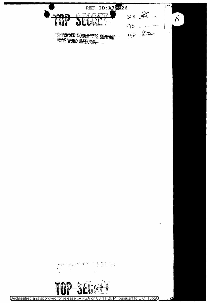

 $\sum_{i=1}^{n} \sum_{j=1}^{n} \sum_{j=1}^{n} \sum_{j=1}^{n} \sum_{j=1}^{n} \sum_{j=1}^{n} \sum_{j=1}^{n}$  $-4$   $\frac{1}{2}$   $\frac{1}{2}$   $\frac{1}{2}$   $\frac{1}{2}$   $\frac{1}{2}$   $\frac{1}{2}$   $\frac{1}{2}$   $\frac{1}{2}$  $\begin{bmatrix} 1 & 1 \\ 1 & 1 \end{bmatrix}$ 



Declassified and approved for release by NSA on 06-11-2014 pursuant to E.O. 13526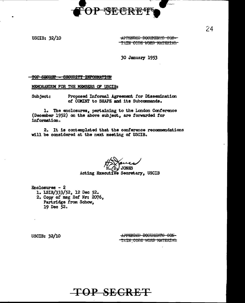

USCIB: 32/10

APPENDEE DOCUMENTS CON-TAIN CODE WORD MATERIAL

30 January 1953

TOP SHORET - SECURITY INFORMATION

MEMORANDUM FOR THE MEMBERS OF USCIB:

Proposed Informal Agreement for Dissemination Subject: of COMINT to SHAPE and its Subcommands.

1. The enclosures, pertaining to the London Conference (December 1952) on the above subject, are forwarded for information.

2. It is contemplated that the conference recommendations will be considered at the next meeting of USCIB.

**CAIKOL** Acting Executive Secretary, USCIB

Enclosures  $-2$ 1. ISIB/333/52, 12 Dec 52. 2. Copy of msg Ref Nr: 2076, Partridge from Schow, 19 Dec 52.

**USCIB: 32/10** 

APPENDED DOCUMENTS CON-TAIN CODE WORD MATERIAL

**TOP SECRET** 

24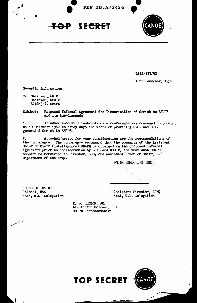

ISIB/333/52

12th December, 1952.

Security Information

To; Chairman, LSIB Chairman, USCIB  $AGofS(1)$ , SHAPE

Subject: Proposed Informal Agreement for Dissemination of Comint to SHAPE and its Sub-Commands

1. In accordance with instructions a conference was convened in London. on 10 December 1952 to study ways and means of providing U.S. and U.K. generated Comint to SHAPE.

**REF ID:A72426** 

<del>TOP SECRET</del>

 $2.$ Attached hereto for your consideration are the recommendations of the conference. The conference recommend that the comments of the Assistant Chief of Staff (Intelligence) SHAPE be obtained on the proposed informal agreement prior to consideration by ISIB and USCIB, and that such SHAPE comment be forwarded to Director, GCHQ and Assistant Chief of Staff, G-2 Department of the Army.

PL 86-36/50 USC 3605

JOSEPH K. BAKER Colonel, USA<br>Head, U.S. Delegation

Assistant Director, GCHQ Head, U.K. Delegation

R. G. HOLTON, JR. Lieutenant Colonel, USA **SHAPE Representative** 

TOP SECRET

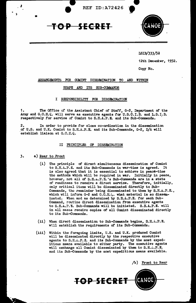





## LSIB/333/52

12th December, 1952.

Copy No.

# ARRANGEMENTS FOR COMINT DISSEMINATION TO AND WITHIN

### SHAPE AND ITS SUB-COMMANDS

## I RESPONSIBILITY FOR DISSEMINATION

1. The Office of the Assistant Chief of Staff, G-2, Department of the Army and G.C.H.C. will serve as executive agents for U.S.C.I.B. and L.S.I.B. respectively for service of Comint to S.H.A.P. E. and its Sub-Commands. ·

2. In order to provide for close co-ordination in the dissemination of U.S. and U.K. Comint to S.H.A.P.E. and its Sub-Commands, G-2, D/A will establish liaison at G.C.H.Q.

## II PRINCIPLES OF DISSEMINATION

### 3. a) Rear to Front

Î

J

89

- (i) The principle of direct simultaneous dissemination of Comint to S.H.A.P. E. and its Sub-Commands in war-time is agreed. It is also agreed that it is essential to achieve in peaca-time the methods which will be required in war. Initially in peace, however, not all of S.H.A.P.E.'s Sub-Commands are in a state of readiness to receive a direct service. Therefore, initially, only critical items will be disseminated directly to Subcommands, tho remainder being disseminated to them by S.H.&.P.E., which will inform G-2 and G.C.H. $\zeta$ . what material is so disseminatod. When and as determined by S.H.A.P.E. for each Sub-Command, routine direct dissemination from executive agents to S.H.A.P.E. Sub-Commands will be initiated. S.H.A.P.E. will in all cases receive copies of all Comint disseminated directly to its Sub-Commands.
- $(i)$  When direct dissemination to Sub-Commands begins, S.H.A.P.E. will establish the requirements of its Sub-Commands.
- (iii) Within the foregoing limits, U.S. and U.K. produced Comint will be disseminated directly by the respective executive agents to S.H.A.P.S. and its Sub-Commands by the most expeditious means available to either party. The executive agents will exchange all Comint disseminated by them to S.H...P.E. and its Sub-Commands by the most expeditious means available.

/b) Front to Rear

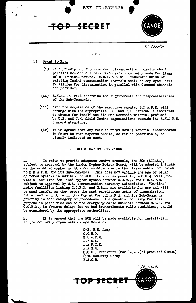

#### $-2 -$

- b) Front to Rear
	- (i) as a principle, . front ·to rear dissemination normally should parallel Command channels, with exception being made for items of a critical nature. S.H.A.P.E. will determine which of existing Comint canmunioation channels shall be employed until facilities for dissemination in parallel with Command channels are provided.
	- $(i)$  S.H. $A.P.E.$  will determine the requirements and responsibilities of the Sub-Commands.
	- (iii) With the cognizance of the executive agents, S.H. $n.P.E.$  will arrange with the appropriate U.S. and U.K. national authorities to obtain for itself and its Sub-Commands material produced. by U.S. and U.K. field Comint organisations outside the S.H.k.P.E. Command structure.
	- (iv) It is agreed that any rear to front Canint material incorporated in front to rear reports should, so far as practicable, be clearly indicated as such.

#### III DISSEMINATION STRUCTURE

4. In order to provide adequate Comint channels, the ECM (SIGABA), subject to approval by the London Cypher Policy Board, will be adopted initially as the combined cypher machine for combined use in the dissemination of Comint to S.H.A.P.E. and its Sub-Commands. This does not exclude the use of other approved systems in addition to ECM.. As soon as possible, G.C.H.Q. Will provide a land-line "on-line" cypher system between G.C.H.Q. and S.H.A.P.E. subject to approval by U.S. communication security authorities. "On-line" radio facilities linking G.C.H.Q. and N.S.h. are available for use and will be used insofar as they prove the most expeditious means of transmission. N.S.A. and G.C.H.Q. will give Comint for S.H.A.P.E. and its Sub-Commands priority in each category of precedence. The question of using for this purpose in peace-time one of the emergency cable channels between N.S.A. and G.C.H.Q., to obviate delays due to bad transatlantio radio conditions, should be considered by the appropriate authorities.

5. It is agreed that the ECM will be made available for installation at the following organisations and Commands:

TOP SECRET

G-2, U.S. Army G.C.H.Q.  $S.H. \dots P. E.$  $...$   $F.N.E.$ .i ... A.F.C. E.  $L.F.S.E.$ S.S.O., Frankfurt (for  $\Lambda$ .S.A.(E) produced Comint) 6910 Security Group B.A.O.R.

 $'$ 2 T. $\mathfrak{L}$ .F.

•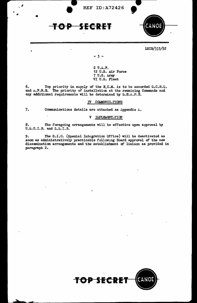





# LSIB/3.33/52

- 3 -

2 T.A.F. 12 U.S. Air Force 7 U.S. *Army* VI U.S. Fleet

6. Top priority in supply of the E.C.M. is to be accorded G.C.H.Q. and  $\texttt{A.F.N.E.}$  The priority of installation at the remaining Commands and any additional requirements will be determined by  $S.H.A.P. E.$ 

### IV COMMUNIC TIONS

•

•

7. Communications details are attached as Appendix  $\Delta$ .

## V IMPLEMENT.TION

8. The foregoing arrangements will be effective upon approval by u.s.c.I.B. and L.S.I.B.

9. The S.I.O. (Special Integration Office) will be deactivated as soon as administratively practicable following Board approval of the new dissemination arrangements and the establishment of liaison as provided in paragraph 2.

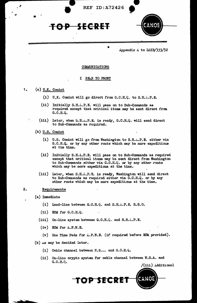

Appendix  $A$  to LSIB/333/52

#### COMMUNICATIONS

# I RE.R TO FRONT

# 1. (a)  $U.K.$  Comint

<sup>81</sup>•

- (i) U.K. Comint will go direct from G.C.H.C. to S.H.A.P.E.
- (ii) Initially S.H.A.P.E. will pass on to Sub-Commands as required except that critical items may be sent direct from G.C.H.Q.
- (iii) Later, when  $S.H.$ ...P.E. is ready,  $G.C.H.Q.$  will send direct to Sub-Commands as required.
- (b) U.S. Comint
	- (i) U.S. Comint will go from Washington to  $S.H.L.P.E.$  either via G.C.H.Q. or by any other route which may be more expeditious at the time.
	- (ii) Initially S.H.A.P.E. will pass on to Sub-Commands as required except that critical items may be sent direct from Washington to Sub-Commands either via G.C.H.Q. or by any other route which may be more expeditious at the time.
	- (iii) Later, when S.H.A.P.E. is ready, Washington will send direct to Sub-Commands as required either via G.C.H.Q. or by any other route which may be more expeditious at the time.

### 2. Requirements

- (a) Immediate
	- (i) Land-line between  $G.C.H.Q.$  and  $S.H.\dots.P.E. S.S.O.$
	- $(ii).$  ECM for  $G.C.H.Q.$
	- $(i$ ii) On-line system between G.C.H. $\mathbb{Q}$ . and S.H. $\mathbb{L}$ .P.E.
	- $(iv)$  ECM for  $A.F.N.E.$ 
		- ${v}$  One Time Pads for  $1.F.R.R.$  (if required before ECM provided).
- (b) as may be decided later.
	- $(i)$  Cable channel between N.S.... and G.C.H.Q.
	- (ii) On-lino crypto system for cable channel between N.S.A. and G.C.H.Q.

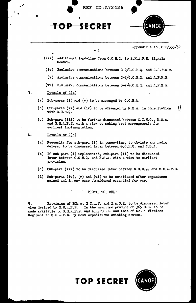



- (iv) Exclusive communications between G-2/G.C.H.Q. and  $A.A.F.C.E.$
- $(v)$  Exclusive communications between G-2/G.C.H.Q. and A.F.N.E.
- (vi) Exclusive communications between  $G-2/G.C.H.\&.$  and  $\Lambda.F.S.E.$

3. Details of 2(a)

- (a) Sub-paras (i) and (v) to be arranged by  $G.C.H.\&$ .
- (b) Sub-paras (ii) and (iv) to be arranged by N.S. $\hat{a}$ . in consultation  $\| \cdot \|$ with G.C.H.Q.
- (c) Sub-para (iii) to be further discussed between  $G.C.H.G., N.S.A.$ and S.H.A.P.E. with a view to making best arrangements for earliest implementation.

**.**...

•

'! -0

4. Details of 2(b)

- (a) Necessity for sub-para (i) in peace-time, to obviate any radio delays, to be discussed later between G.C.H.Q. and N.S.A.
- (b) If sub-para (i) implemented, sub-para (ii) to be discussed later between G.C.H.Q. and N.S.A. with a view to earliest provision.
- (c) Sub-para (iii) to be discussed later between G.C.H.Q. and S.H.A.P.E.
- $(d)$ . Sub-paras (iv), (v) and (vi) to be considered after experience gained and in any case c'onsidered essential for war.

#### II FRONT TO REl.R

5. Provision of ECM at 2 T....F. and B.A.O.R. to be discussed later when desired by  $S.H.n.P.E.$  In the meantime product of  $365 S.U.$  to be In the meantime product of 365 S.U. to be made available to S.H...P.E. and A.m.F.C.E. and that of No. 1 Wireless Regiment to S.H...P.E. by most expeditious existing routes.